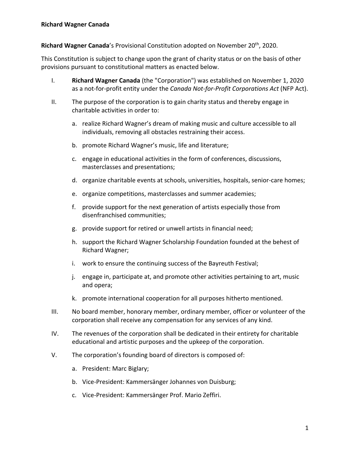**Richard Wagner Canada**'s Provisional Constitution adopted on November 20th, 2020.

This Constitution is subject to change upon the grant of charity status or on the basis of other provisions pursuant to constitutional matters as enacted below.

- I. **Richard Wagner Canada** (the "Corporation") was established on November 1, 2020 as a not-for-profit entity under the *Canada Not-for-Profit Corporations Act* (NFP Act).
- II. The purpose of the corporation is to gain charity status and thereby engage in charitable activities in order to:
	- a. realize Richard Wagner's dream of making music and culture accessible to all individuals, removing all obstacles restraining their access.
	- b. promote Richard Wagner's music, life and literature;
	- c. engage in educational activities in the form of conferences, discussions, masterclasses and presentations;
	- d. organize charitable events at schools, universities, hospitals, senior-care homes;
	- e. organize competitions, masterclasses and summer academies;
	- f. provide support for the next generation of artists especially those from disenfranchised communities;
	- g. provide support for retired or unwell artists in financial need;
	- h. support the Richard Wagner Scholarship Foundation founded at the behest of Richard Wagner;
	- i. work to ensure the continuing success of the Bayreuth Festival;
	- j. engage in, participate at, and promote other activities pertaining to art, music and opera;
	- k. promote international cooperation for all purposes hitherto mentioned.
- III. No board member, honorary member, ordinary member, officer or volunteer of the corporation shall receive any compensation for any services of any kind.
- IV. The revenues of the corporation shall be dedicated in their entirety for charitable educational and artistic purposes and the upkeep of the corporation.
- V. The corporation's founding board of directors is composed of:
	- a. President: Marc Biglary;
	- b. Vice-President: Kammersänger Johannes von Duisburg;
	- c. Vice-President: Kammersänger Prof. Mario Zeffiri.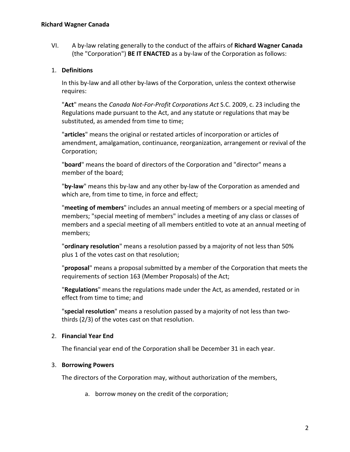VI. A by-law relating generally to the conduct of the affairs of **Richard Wagner Canada** (the "Corporation") **BE IT ENACTED** as a by-law of the Corporation as follows:

#### 1. **Definitions**

In this by-law and all other by-laws of the Corporation, unless the context otherwise requires:

"**Act**" means the *Canada Not-For-Profit Corporations Act* S.C. 2009, c. 23 including the Regulations made pursuant to the Act, and any statute or regulations that may be substituted, as amended from time to time;

"**articles**" means the original or restated articles of incorporation or articles of amendment, amalgamation, continuance, reorganization, arrangement or revival of the Corporation;

"**board**" means the board of directors of the Corporation and "director" means a member of the board;

"**by-law**" means this by-law and any other by-law of the Corporation as amended and which are, from time to time, in force and effect;

"**meeting of members**" includes an annual meeting of members or a special meeting of members; "special meeting of members" includes a meeting of any class or classes of members and a special meeting of all members entitled to vote at an annual meeting of members;

"**ordinary resolution**" means a resolution passed by a majority of not less than 50% plus 1 of the votes cast on that resolution;

"**proposal**" means a proposal submitted by a member of the Corporation that meets the requirements of section 163 (Member Proposals) of the Act;

"**Regulations**" means the regulations made under the Act, as amended, restated or in effect from time to time; and

"**special resolution**" means a resolution passed by a majority of not less than twothirds (2/3) of the votes cast on that resolution.

## 2. **Financial Year End**

The financial year end of the Corporation shall be December 31 in each year.

#### 3. **Borrowing Powers**

The directors of the Corporation may, without authorization of the members,

a. borrow money on the credit of the corporation;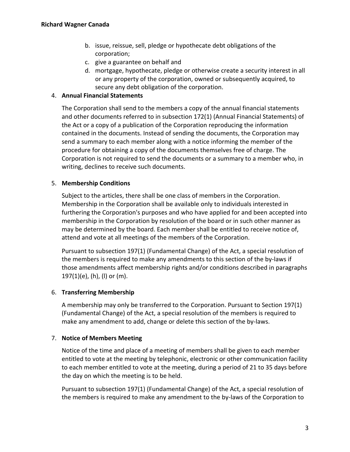- b. issue, reissue, sell, pledge or hypothecate debt obligations of the corporation;
- c. give a guarantee on behalf and
- d. mortgage, hypothecate, pledge or otherwise create a security interest in all or any property of the corporation, owned or subsequently acquired, to secure any debt obligation of the corporation.

## 4. **Annual Financial Statements**

The Corporation shall send to the members a copy of the annual financial statements and other documents referred to in subsection 172(1) (Annual Financial Statements) of the Act or a copy of a publication of the Corporation reproducing the information contained in the documents. Instead of sending the documents, the Corporation may send a summary to each member along with a notice informing the member of the procedure for obtaining a copy of the documents themselves free of charge. The Corporation is not required to send the documents or a summary to a member who, in writing, declines to receive such documents.

## 5. **Membership Conditions**

Subject to the articles, there shall be one class of members in the Corporation. Membership in the Corporation shall be available only to individuals interested in furthering the Corporation's purposes and who have applied for and been accepted into membership in the Corporation by resolution of the board or in such other manner as may be determined by the board. Each member shall be entitled to receive notice of, attend and vote at all meetings of the members of the Corporation.

Pursuant to subsection 197(1) (Fundamental Change) of the Act, a special resolution of the members is required to make any amendments to this section of the by-laws if those amendments affect membership rights and/or conditions described in paragraphs 197(1)(e), (h), (l) or (m).

## 6. **Transferring Membership**

A membership may only be transferred to the Corporation. Pursuant to Section 197(1) (Fundamental Change) of the Act, a special resolution of the members is required to make any amendment to add, change or delete this section of the by-laws.

## 7. **Notice of Members Meeting**

Notice of the time and place of a meeting of members shall be given to each member entitled to vote at the meeting by telephonic, electronic or other communication facility to each member entitled to vote at the meeting, during a period of 21 to 35 days before the day on which the meeting is to be held.

Pursuant to subsection 197(1) (Fundamental Change) of the Act, a special resolution of the members is required to make any amendment to the by-laws of the Corporation to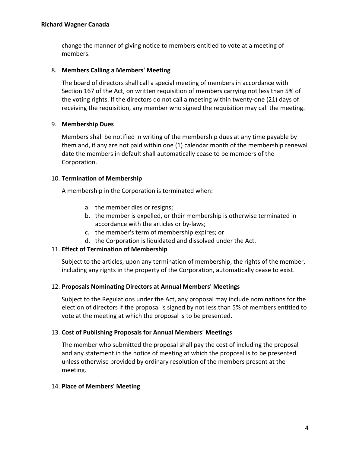change the manner of giving notice to members entitled to vote at a meeting of members.

## 8. **Members Calling a Members' Meeting**

The board of directors shall call a special meeting of members in accordance with Section 167 of the Act, on written requisition of members carrying not less than 5% of the voting rights. If the directors do not call a meeting within twenty-one (21) days of receiving the requisition, any member who signed the requisition may call the meeting.

## 9. **Membership Dues**

Members shall be notified in writing of the membership dues at any time payable by them and, if any are not paid within one (1) calendar month of the membership renewal date the members in default shall automatically cease to be members of the Corporation.

## 10. **Termination of Membership**

A membership in the Corporation is terminated when:

- a. the member dies or resigns;
- b. the member is expelled, or their membership is otherwise terminated in accordance with the articles or by-laws;
- c. the member's term of membership expires; or
- d. the Corporation is liquidated and dissolved under the Act.

# 11. **Effect of Termination of Membership**

Subject to the articles, upon any termination of membership, the rights of the member, including any rights in the property of the Corporation, automatically cease to exist.

## 12. **Proposals Nominating Directors at Annual Members' Meetings**

Subject to the Regulations under the Act, any proposal may include nominations for the election of directors if the proposal is signed by not less than 5% of members entitled to vote at the meeting at which the proposal is to be presented.

## 13. **Cost of Publishing Proposals for Annual Members' Meetings**

The member who submitted the proposal shall pay the cost of including the proposal and any statement in the notice of meeting at which the proposal is to be presented unless otherwise provided by ordinary resolution of the members present at the meeting.

## 14. **Place of Members' Meeting**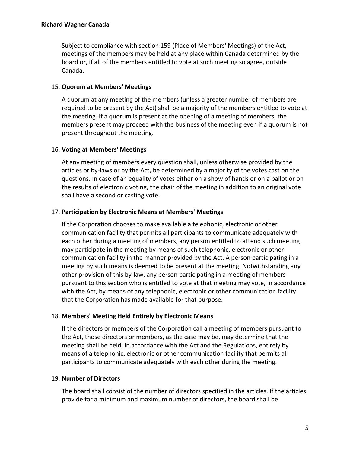Subject to compliance with section 159 (Place of Members' Meetings) of the Act, meetings of the members may be held at any place within Canada determined by the board or, if all of the members entitled to vote at such meeting so agree, outside Canada.

#### 15. **Quorum at Members' Meetings**

A quorum at any meeting of the members (unless a greater number of members are required to be present by the Act) shall be a majority of the members entitled to vote at the meeting. If a quorum is present at the opening of a meeting of members, the members present may proceed with the business of the meeting even if a quorum is not present throughout the meeting.

#### 16. **Voting at Members' Meetings**

At any meeting of members every question shall, unless otherwise provided by the articles or by-laws or by the Act, be determined by a majority of the votes cast on the questions. In case of an equality of votes either on a show of hands or on a ballot or on the results of electronic voting, the chair of the meeting in addition to an original vote shall have a second or casting vote.

#### 17. **Participation by Electronic Means at Members' Meetings**

If the Corporation chooses to make available a telephonic, electronic or other communication facility that permits all participants to communicate adequately with each other during a meeting of members, any person entitled to attend such meeting may participate in the meeting by means of such telephonic, electronic or other communication facility in the manner provided by the Act. A person participating in a meeting by such means is deemed to be present at the meeting. Notwithstanding any other provision of this by-law, any person participating in a meeting of members pursuant to this section who is entitled to vote at that meeting may vote, in accordance with the Act, by means of any telephonic, electronic or other communication facility that the Corporation has made available for that purpose.

#### 18. **Members' Meeting Held Entirely by Electronic Means**

If the directors or members of the Corporation call a meeting of members pursuant to the Act, those directors or members, as the case may be, may determine that the meeting shall be held, in accordance with the Act and the Regulations, entirely by means of a telephonic, electronic or other communication facility that permits all participants to communicate adequately with each other during the meeting.

#### 19. **Number of Directors**

The board shall consist of the number of directors specified in the articles. If the articles provide for a minimum and maximum number of directors, the board shall be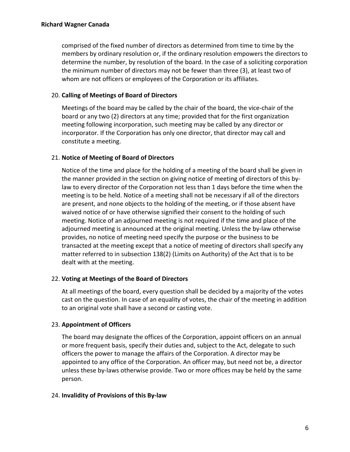comprised of the fixed number of directors as determined from time to time by the members by ordinary resolution or, if the ordinary resolution empowers the directors to determine the number, by resolution of the board. In the case of a soliciting corporation the minimum number of directors may not be fewer than three (3), at least two of whom are not officers or employees of the Corporation or its affiliates.

## 20. **Calling of Meetings of Board of Directors**

Meetings of the board may be called by the chair of the board, the vice-chair of the board or any two (2) directors at any time; provided that for the first organization meeting following incorporation, such meeting may be called by any director or incorporator. If the Corporation has only one director, that director may call and constitute a meeting.

## 21. **Notice of Meeting of Board of Directors**

Notice of the time and place for the holding of a meeting of the board shall be given in the manner provided in the section on giving notice of meeting of directors of this bylaw to every director of the Corporation not less than 1 days before the time when the meeting is to be held. Notice of a meeting shall not be necessary if all of the directors are present, and none objects to the holding of the meeting, or if those absent have waived notice of or have otherwise signified their consent to the holding of such meeting. Notice of an adjourned meeting is not required if the time and place of the adjourned meeting is announced at the original meeting. Unless the by-law otherwise provides, no notice of meeting need specify the purpose or the business to be transacted at the meeting except that a notice of meeting of directors shall specify any matter referred to in subsection 138(2) (Limits on Authority) of the Act that is to be dealt with at the meeting.

## 22. **Voting at Meetings of the Board of Directors**

At all meetings of the board, every question shall be decided by a majority of the votes cast on the question. In case of an equality of votes, the chair of the meeting in addition to an original vote shall have a second or casting vote.

## 23. **Appointment of Officers**

The board may designate the offices of the Corporation, appoint officers on an annual or more frequent basis, specify their duties and, subject to the Act, delegate to such officers the power to manage the affairs of the Corporation. A director may be appointed to any office of the Corporation. An officer may, but need not be, a director unless these by-laws otherwise provide. Two or more offices may be held by the same person.

## 24. **Invalidity of Provisions of this By-law**